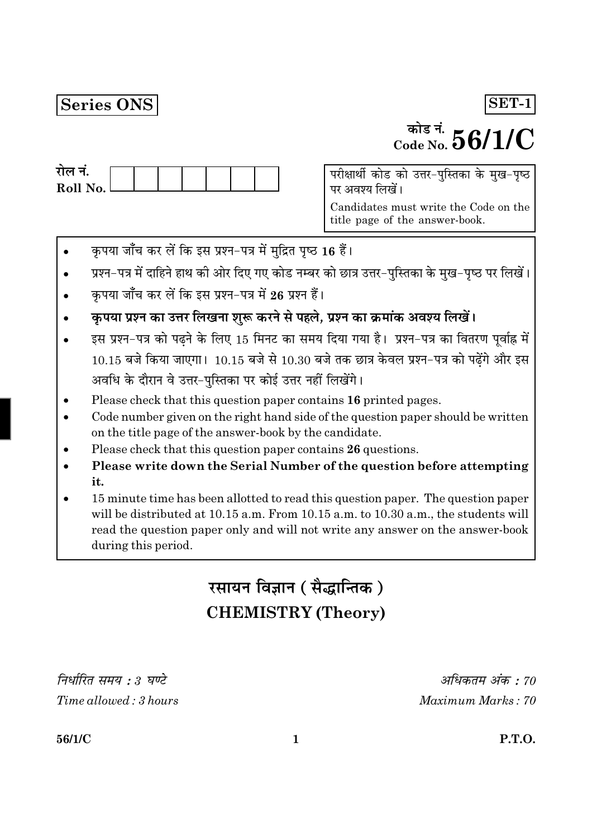## Series ONS

# <sup>कोड नं.</sup>  $56/1/C$

SET-1

| राल न.     |  |  |  |  |
|------------|--|--|--|--|
| Roll No. l |  |  |  |  |
|            |  |  |  |  |

परीक्षार्थी कोड को उत्तर-पुस्तिका के मुख-पृष्ठ पर अवश्य लिखें।

Candidates must write the Code on the title page of the answer-book.

- कृपया जाँच कर लें कि इस प्रश्न-पत्र में मुद्रित पृष्ठ 16 हैं।
- प्रश्न-पत्र में दाहिने हाथ की ओर दिए गए कोड नम्बर को छात्र उत्तर-पुस्तिका के मुख-पृष्ठ पर लिखें।
- कपया जाँच कर लें कि इस प्रश्न-पत्र में 26 प्रश्न हैं।
- कृपया प्रश्न का उत्तर लिखना शुरू करने से पहले, प्रश्न का क्रमांक अवश्य लिखें।
- इस प्रश्न-पत्र को पढ़ने के लिए 15 मिनट का समय दिया गया है। प्रश्न-पत्र का वितरण पूर्वाह्न में  $10.15$  बजे किया जाएगा।  $10.15$  बजे से  $10.30$  बजे तक छात्र केवल प्रश्न-पत्र को पढ़ेंगे और इस अवधि के दौरान वे उत्तर-पुस्तिका पर कोई उत्तर नहीं लिखेंगे।
- Please check that this question paper contains 16 printed pages.
- Code number given on the right hand side of the question paper should be written on the title page of the answer-book by the candidate.
- Please check that this question paper contains 26 questions.
- Please write down the Serial Number of the question before attempting it.
- 15 minute time has been allotted to read this question paper. The question paper will be distributed at 10.15 a.m. From 10.15 a.m. to 10.30 a.m., the students will read the question paper only and will not write any answer on the answer-book during this period.

# रसायन विज्ञान (सैद्धान्तिक) **CHEMISTRY (Theory)**

निर्धारित समय : 3 घण्टे Time allowed: 3 hours

अधिकतम अंक : 70 Maximum Marks: 70

56/1/C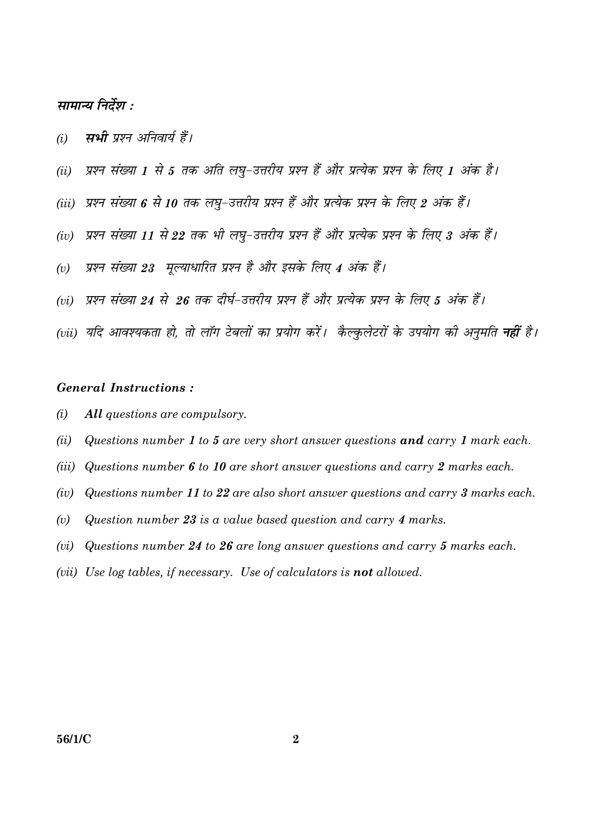## सामान्य निर्देश :

- म्पभी पृष्ठन अनिवार्य हैं।  $(i)$
- प्रश्न संख्या 1 से 5 तक अति लघु-उत्तरीय प्रश्न हैं और प्रत्येक प्रश्न के लिए 1 अंक है।  $(ii)$
- (iii) प्रश्न संख्या 6 से 10 तक लघ-उत्तरीय प्रश्न हैं और प्रत्येक प्रश्न के लिए 2 अंक हैं।
- प्रश्न संख्या 11 से 22 तक भी लघ-उत्तरीय प्रश्न हैं और प्रत्येक प्रश्न के लिए 3 अंक हैं।  $(iv)$
- प्रश्न संख्या 23 मुल्याधारित प्रश्न है और इसके लिए 4 अंक हैं।  $(v)$
- (vi) प्रश्न संख्या 24 से 26 तक दीर्घ-उत्तरीय प्रश्न हैं और प्रत्येक प्रश्न के लिए 5 अंक हैं।
- (vii) यदि आवश्यकता हो. तो लॉग टेबलों का प्रयोग करें। कैल्कलेटरों के उपयोग की अनमति **नहीं** है।

## **General Instructions:**

- $(i)$ All questions are compulsory.
- $(ii)$ Questions number 1 to 5 are very short answer questions and carry 1 mark each.
- $(iii)$ Questions number 6 to 10 are short answer questions and carry 2 marks each.
- Questions number 11 to 22 are also short answer questions and carry 3 marks each.  $(iv)$
- Question number 23 is a value based question and carry 4 marks.  $(v)$
- Questions number 24 to 26 are long answer questions and carry 5 marks each.  $(vi)$
- (vii) Use log tables, if necessary. Use of calculators is **not** allowed.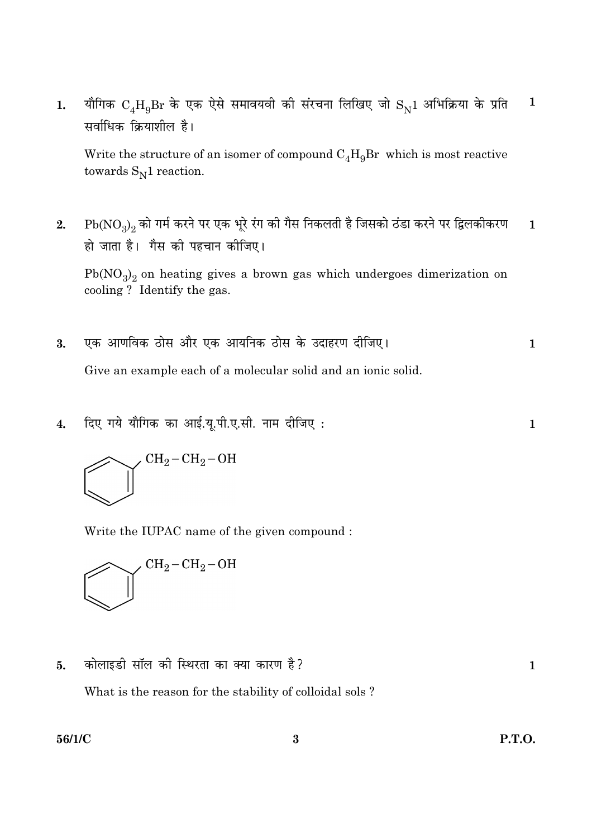यौगिक  $C_4H_9Br$  के एक ऐसे समावयवी की संरचना लिखिए जो  $S_N1$  अभिक्रिया के प्रति  $\mathbf{1}$  $1.$ सर्वाधिक क्रियाशील है।

Write the structure of an isomer of compound  $C_4H_9Br$  which is most reactive towards  $S_N1$  reaction.

 $Pb(NO<sub>3</sub>)$ 2 को गर्म करने पर एक भूरे रंग की गैस निकलती है जिसको ठंडा करने पर द्विलकीकरण  $2.$  $\mathbf{1}$ हो जाता है। गैस की पहचान कीजिए।

 $Pb(NO<sub>3</sub>)<sub>2</sub>$  on heating gives a brown gas which undergoes dimerization on cooling? Identify the gas.

- एक आणविक ठोस और एक आयनिक ठोस के उदाहरण दीजिए। 3.  $\mathbf{1}$ Give an example each of a molecular solid and an ionic solid.
- दिए गये यौगिक का आई.यू.पी.ए.सी. नाम दीजिए:  $\boldsymbol{4}$ .



Write the IUPAC name of the given compound:



कोलाइडी सॉल की स्थिरता का क्या कारण है? 5.

What is the reason for the stability of colloidal sols?

56/1/C

 $\mathbf{1}$ 

 $\mathbf{1}$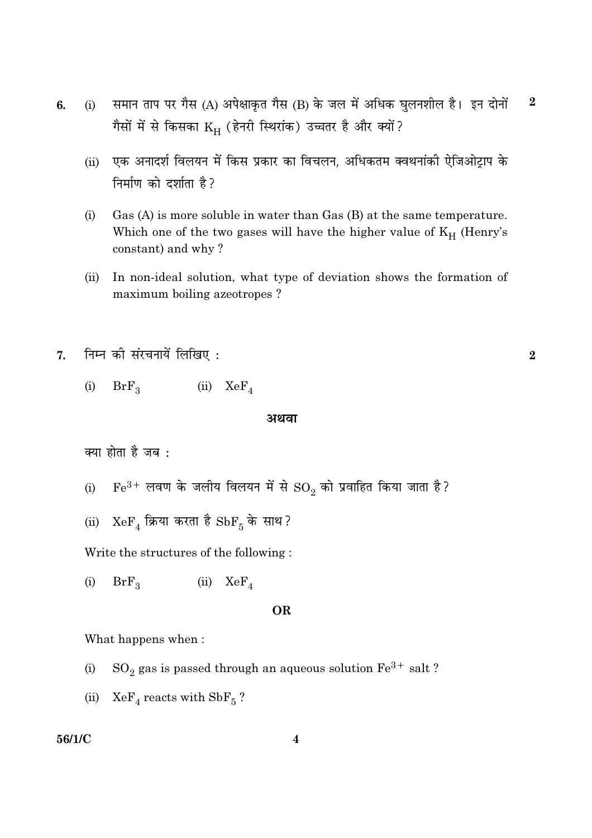- समान ताप पर गैस (A) अपेक्षाकृत गैस (B) के जल में अधिक घुलनशील है। इन दोनों  $\boldsymbol{2}$ 6.  $(i)$ गैसों में से किसका KH (हेनरी स्थिरांक) उच्चतर है और क्यों?
	- एक अनादर्श विलयन में किस प्रकार का विचलन, अधिकतम क्वथनांकी ऐजिओट्राप के  $(ii)$ निर्माण को दर्शाता है?
	- $(i)$ Gas  $(A)$  is more soluble in water than Gas  $(B)$  at the same temperature. Which one of the two gases will have the higher value of  $K_H$  (Henry's constant) and why?
	- In non-ideal solution, what type of deviation shows the formation of  $(ii)$ maximum boiling azeotropes?

 $\overline{2}$ 

- निम्न की संरचनायें लिखिए:  $\overline{7}$ .
	- $(i)$  $BrF_3$  (ii)  $KeF_4$

#### अथवा

क्या होता है जब :

- $\rm Fe^{3+}$  लवण के जलीय विलयन में से  $\rm SO_2$  को प्रवाहित किया जाता है ?  $(i)$
- (ii)  $XeF_4$  क्रिया करता है  $SbF_5$  के साथ?

Write the structures of the following:

 $BrF<sub>2</sub>$  $(iii)$   $XeF_4$  $(i)$ 

#### **OR**

What happens when:

- $\mathrm{SO}_2$  gas is passed through an aqueous solution  $\mathrm{Fe^{3+}}$  salt ?  $(i)$
- (ii)  $XeF_4$  reacts with  $SbF_5$ ?

## 56/1/C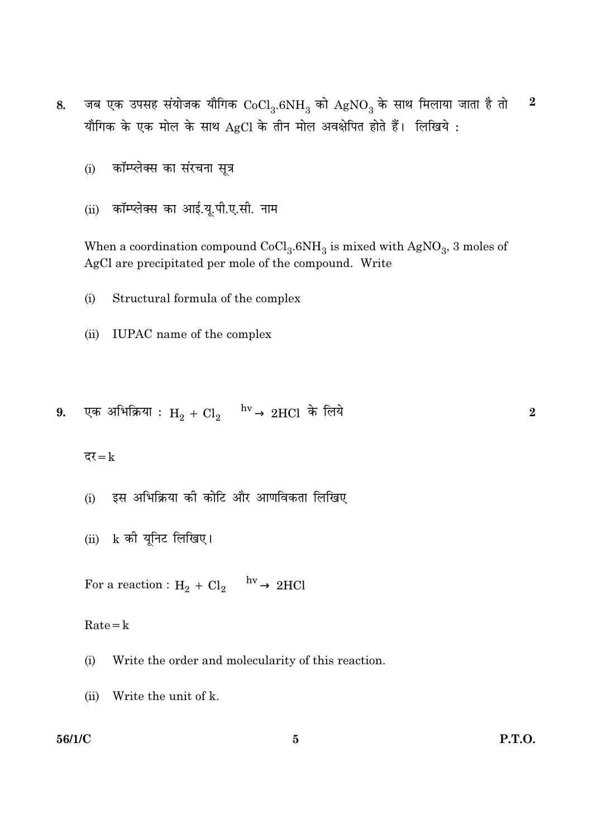- जब एक उपसह संयोजक यौगिक  $CoCl<sub>3</sub>.6NH<sub>3</sub>$  को  $AgNO<sub>3</sub>$  के साथ मिलाया जाता है तो  $\boldsymbol{2}$ 8. यौगिक के एक मोल के साथ AgCl के तीन मोल अवक्षेपित होते हैं। लिखिये:
	- कॉम्प्लेक्स का संरचना सूत्र  $(i)$
	- कॉम्प्लेक्स का आई.यू.पी.ए.सी. नाम  $(ii)$

When a coordination compound  $CoCl<sub>3</sub>.6NH<sub>3</sub>$  is mixed with AgNO<sub>3</sub>, 3 moles of AgCl are precipitated per mole of the compound. Write

- $(i)$ Structural formula of the complex
- (ii) IUPAC name of the complex

9. एक अभिक्रिया : 
$$
H_2 + Cl_2 \xrightarrow{hv} 2HCl
$$
 के लिये

दर $=k$ 

- इस अभिक्रिया की कोटि और आणविकता लिखिए  $(i)$
- $(ii)$  k की यूनिट लिखिए।

For a reaction :  $H_2 + Cl_2 \xrightarrow{hv} 2HCl$ 

 $Rate = k$ 

- $(i)$ Write the order and molecularity of this reaction.
- $(ii)$ Write the unit of k.

## 56/1/C

 $\overline{2}$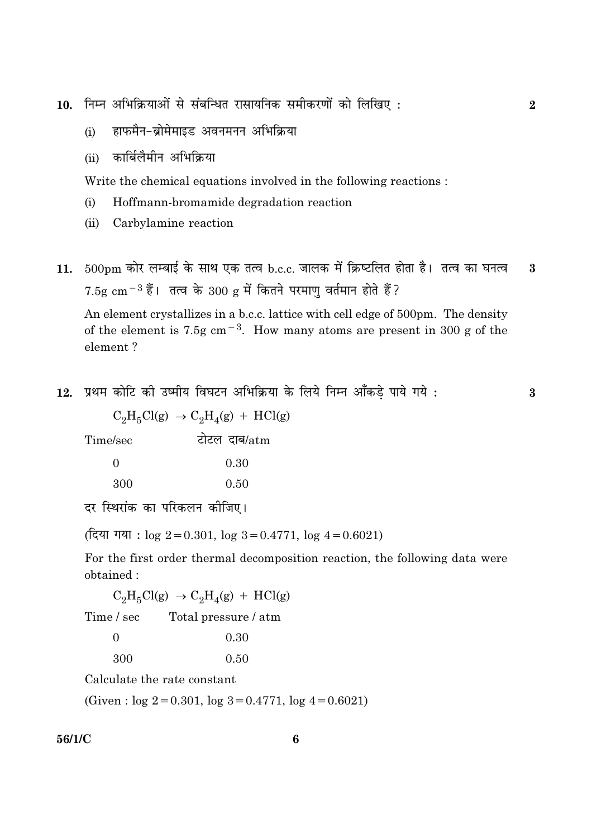10. निम्न अभिक्रियाओं से संबन्धित रासायनिक समीकरणों को लिखिए:

- हाफमैन-ब्रोमेमाइड अवनमनन अभिक्रिया  $(i)$
- कार्बिलैमीन अभिक्रिया  $(ii)$

Write the chemical equations involved in the following reactions:

- $(i)$ Hoffmann-bromamide degradation reaction
- (ii) Carbylamine reaction
- $500 \text{pm}$  कोर लम्बाई के साथ एक तत्व b.c.c. जालक में क्रिष्टलित होता है। तत्व का घनत्व  $11.$  $\mathbf{3}$  $7.5$ g cm $^{-3}$  हैं। तत्व के  $300$  g में कितने परमाण वर्तमान होते हैं?

An element crystallizes in a b.c.c. lattice with cell edge of 500pm. The density of the element is 7.5g cm<sup>-3</sup>. How many atoms are present in 300 g of the element?

12. प्रथम कोटि की उष्मीय विघटन अभिक्रिया के लिये निम्न आँकड़े पाये गये :

 $C_2H_5Cl(g) \rightarrow C_2H_4(g) + HCl(g)$ 

टोटल दाब/atm Time/sec

| $\Omega$ | 0.30 |
|----------|------|
| 300      | 0.50 |

दर स्थिरांक का परिकलन कोजिए।

(दिया गया:  $\log 2 = 0.301$ ,  $\log 3 = 0.4771$ ,  $\log 4 = 0.6021$ )

For the first order thermal decomposition reaction, the following data were obtained:

 $C_2H_5Cl(g) \rightarrow C_2H_4(g) + HCl(g)$ 

Time / sec Total pressure / atm

| $\Omega$ | 0.30 |
|----------|------|
| 300      | 0.50 |

Calculate the rate constant

(Given:  $log 2 = 0.301$ ,  $log 3 = 0.4771$ ,  $log 4 = 0.6021$ )

56/1/C

 $\bf{3}$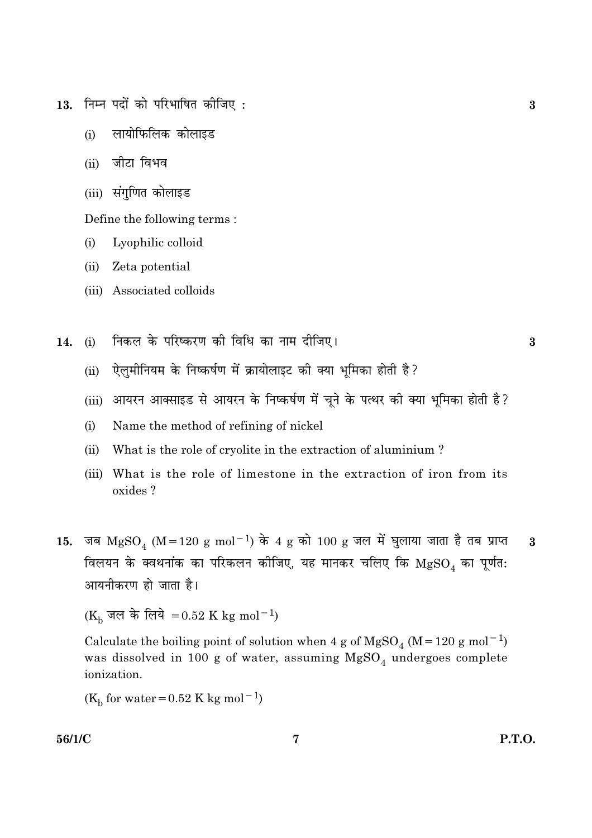- 13. निम्न पदों को परिभाषित कीजिए:
	- लायोफिलिक कोलाइड  $(i)$
	- जीटा विभव  $(i)$
	- (iii) संगुणित कोलाइड

Define the following terms:

- Lyophilic colloid  $(i)$
- (ii) Zeta potential
- (iii) Associated colloids
- निकल के परिष्करण की विधि का नाम दीजिए। 14.  $(i)$

 $\bf{3}$ 

 $\bf{3}$ 

- ऐलुमीनियम के निष्कर्षण में क्रायोलाइट की क्या भूमिका होती है?  $(ii)$
- (iii) आयरन आक्साइड से आयरन के निष्कर्षण में चूने के पत्थर की क्या भूमिका होती है?
- $(i)$ Name the method of refining of nickel
- What is the role of cryolite in the extraction of aluminium?  $(ii)$
- (iii) What is the role of limestone in the extraction of iron from its oxides?
- जब  $MgSO_4$  (M = 120 g mol<sup>-1</sup>) के 4 g को 100 g जल में घुलाया जाता है तब प्राप्त  $\overline{\mathbf{3}}$ 15. विलयन के क्वथनांक का परिकलन कोजिए, यह मानकर चलिए कि  ${\rm MgSO}_4$  का पूर्णत: आयनीकरण हो जाता है।

(K<sub>b</sub> जल के लिये = 0.52 K kg mol<sup>-1</sup>)

Calculate the boiling point of solution when 4 g of  ${\rm MgSO_4}$  (M=120 g mol<sup>-1</sup>) was dissolved in 100 g of water, assuming  $MgSO_4$  undergoes complete ionization.

( $K_h$  for water = 0.52 K kg mol<sup>-1</sup>)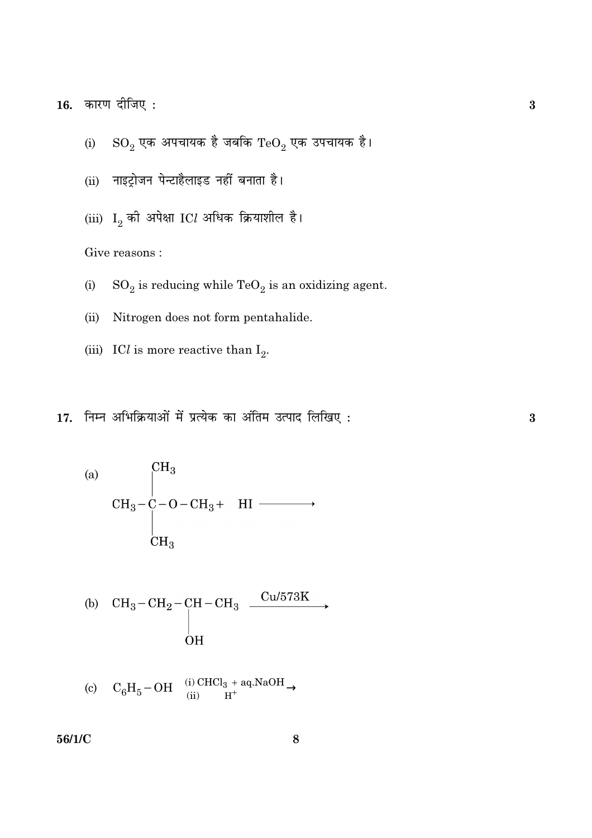16. कारण दीजिए:

- $\mathrm{SO}_2$  एक अपचायक है जबकि  $\mathrm{TeO}_2$  एक उपचायक है।  $(i)$
- (ii) नाइट्रोजन पेन्टाहैलाइड नहीं बनाता है।
- (iii)  $I_2$  की अपेक्षा ICl अधिक क्रियाशील है।

Give reasons:

- $SO_2$  is reducing while  $TeO_2$  is an oxidizing agent.  $(i)$
- $(ii)$ Nitrogen does not form pentahalide.
- (iii) ICl is more reactive than  $I_2$ .
- 17. निम्न अभिक्रियाओं में प्रत्येक का अंतिम उत्पाद लिखिए:

 $CH<sub>3</sub>$  $(a)$  $CH_3-\overset{\circ}{C}-O-CH_3+HI \longrightarrow$  $CH<sub>3</sub>$ (b)  $CH_3-CH_2-CH-CH_3 \xrightarrow{Cu/573K}$ **OH** 

(c) 
$$
C_6H_5-OH \xrightarrow{\text{(i) CHCl}_3 + \text{aq.NaOH}}
$$

56/1/C

 $\bf{3}$ 

 $\bf{3}$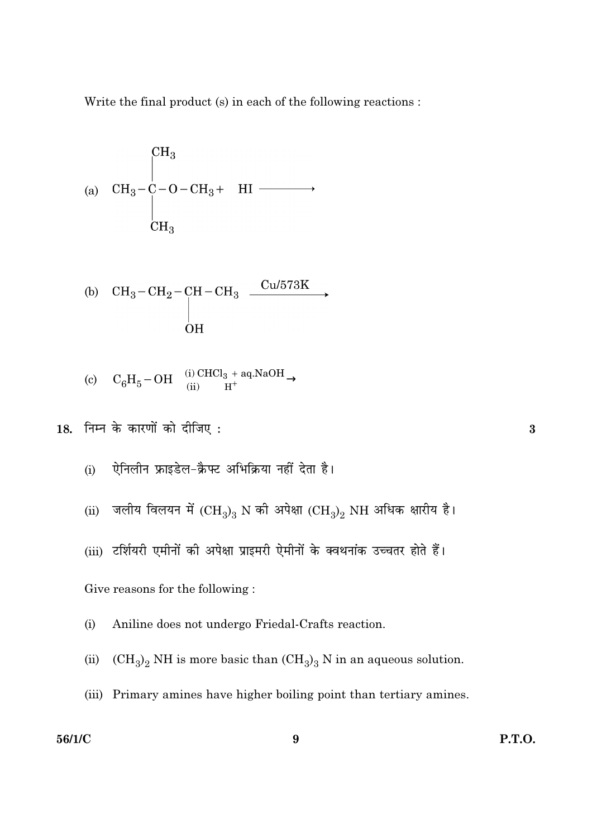Write the final product (s) in each of the following reactions :

(a) 
$$
CH_3-C-O-CH_3+
$$
 HI  $\longrightarrow$   
\n $CH_3$   
\n $CH_3$   
\n $CH_3$ 

(b) 
$$
\begin{array}{ccc}\n\text{CH}_3-\text{CH}_2-\text{CH}-\text{CH}_3 & \xrightarrow{\text{Cu/573K}} \\
\downarrow & & \\
\text{OH} & & \n\end{array}
$$

(c) 
$$
C_6H_5-OH \xrightarrow{\text{(i) CHCl}_3 + \text{aq.NaOH}}
$$

18. निम्न के कारणों को दीजिए:

ऐनिलीन फ्राइडेल-क्रैफ्ट अभिक्रिया नहीं देता है।  $(i)$ 

जलीय विलयन में  ${\rm (CH_3)_3}$  N की अपेक्षा  ${\rm (CH_3)_2}$  NH अधिक क्षारीय है।  $(ii)$ 

(iii) टर्शियरी एमीनों की अपेक्षा प्राइमरी ऐमीनों के क्वथनांक उच्चतर होते हैं।

Give reasons for the following:

Aniline does not undergo Friedal-Crafts reaction.  $(i)$ 

 ${\rm (CH_3)_2}$  NH is more basic than  ${\rm (CH_3)_3}$  N in an aqueous solution.  $(ii)$ 

(iii) Primary amines have higher boiling point than tertiary amines.

## 56/1/C

 $\bf{3}$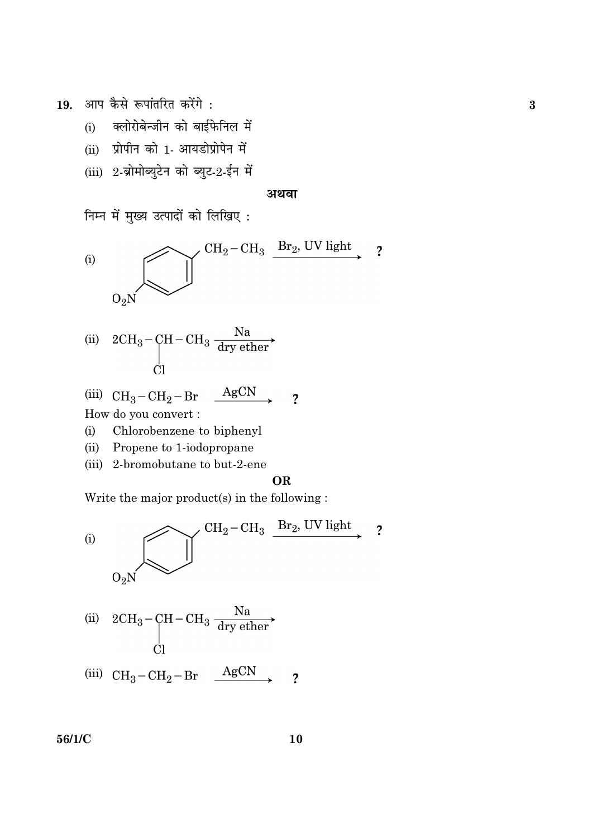आप कैसे रूपांतरित करेंगे: 19.

- क्लोरोबेन्जीन को बाईफेनिल में  $(i)$
- (ii) प्रोपीन को 1- आयडोप्रोपेन में
- (iii) 2-ब्रोमोब्युटेन को ब्युट-2-ईन में

#### अथवा

निम्न में मुख्य उत्पादों को लिखिए :



(ii) 
$$
2CH_3 - CH - CH_3 \frac{Na}{dry \text{ }other}
$$

(iii) 
$$
CH_3-CH_2-Br \xrightarrow{AgCN}
$$
 ?

How do you convert :

- Chlorobenzene to biphenyl  $(i)$
- $(ii)$ Propene to 1-iodopropane
- (iii) 2-bromobutane to but-2-ene

#### **OR**

Write the major product(s) in the following :



56/1/C

10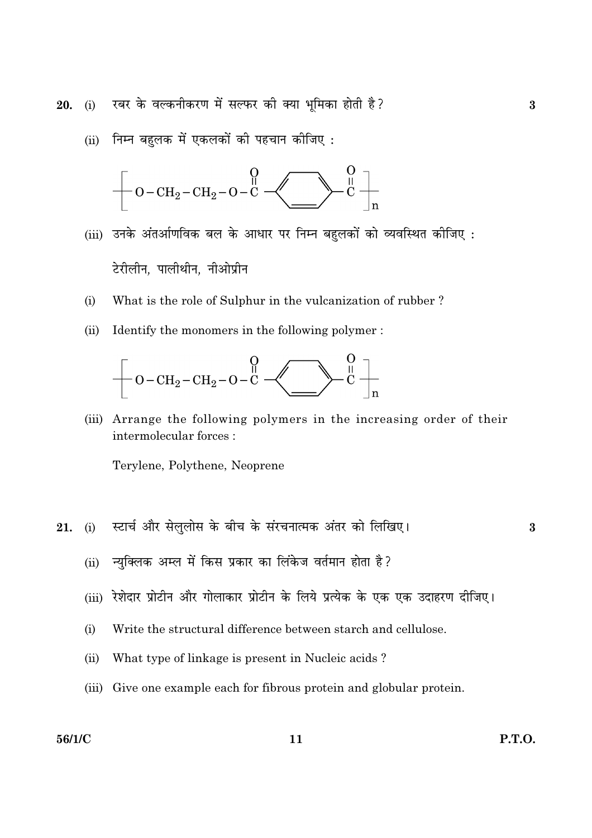रबर के वल्कनीकरण में सल्फर की क्या भमिका होती है? 20.  $(i)$ 

(ii) निम्न बहुलक में एकलकों की पहचान कीजिए:



- (iii) उनके अंतर्आणविक बल के आधार पर निम्न बहलकों को व्यवस्थित कीजिए: टेरीलीन, पालीथीन, नीओप्रीन
- $(i)$ What is the role of Sulphur in the vulcanization of rubber?
- Identify the monomers in the following polymer:  $(ii)$



(iii) Arrange the following polymers in the increasing order of their intermolecular forces:

Terylene, Polythene, Neoprene

स्टार्च और सेलुलोस के बीच के संरचनात्मक अंतर को लिखिए।  $(i)$ 21.

- न्युक्लिक अम्ल में किस प्रकार का लिंकेज वर्तमान होता है?  $(ii)$
- रेशेदार प्रोटीन और गोलाकार प्रोटीन के लिये प्रत्येक के एक एक उदाहरण दीजिए।  $(iii)$
- Write the structural difference between starch and cellulose.  $(i)$
- What type of linkage is present in Nucleic acids?  $(ii)$
- (iii) Give one example each for fibrous protein and globular protein.

### 56/1/C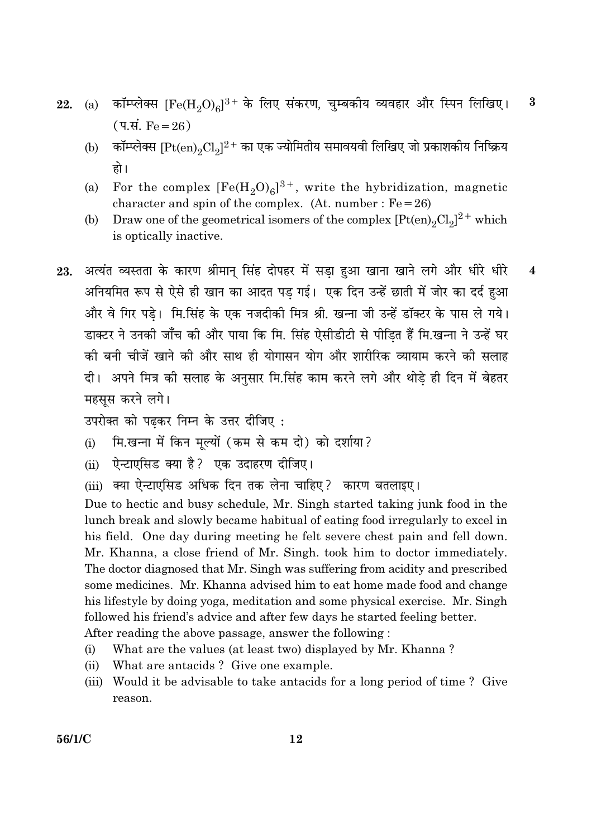- कॉम्प्लेक्स [Fe(H<sub>2</sub>O)<sub>6</sub>]<sup>3+</sup> के लिए संकरण, चुम्बकीय व्यवहार और स्पिन लिखिए।  $\bf{3}$ 22.  $(a)$ (प.सं.  $Fe = 26$ )
	- कॉम्प्लेक्स [Pt(en), $Cl_2$ ] $^{2+}$  का एक ज्योमितीय समावयवी लिखिए जो प्रकाशकीय निष्क्रिय  $(b)$ हो ।
	- For the complex  $[Fe(H<sub>2</sub>O)<sub>6</sub>]^{3+}$ , write the hybridization, magnetic (a) character and spin of the complex. (At. number:  $Fe = 26$ )
	- Draw one of the geometrical isomers of the complex  $[Pt(en)_2Cl_2]^2$ <sup>+</sup> which (b) is optically inactive.
- अत्यंत व्यस्तता के कारण श्रीमान् सिंह दोपहर में सड़ा हुआ खाना खाने लगे और धीरे धीरे  $\overline{\mathbf{4}}$ 23. अनियमित रूप से ऐसे ही खान का आदत पड़ गई। एक दिन उन्हें छाती में जोर का दर्द हुआ और वे गिर पड़े। मि.सिंह के एक नजदीकी मित्र श्री. खन्ना जी उन्हें डॉक्टर के पास ले गये। डाक्टर ने उनकी जाँच की और पाया कि मि. सिंह ऐसीडीटी से पीडि़त हैं मि.खन्ना ने उन्हें घर की बनी चीजें खाने की और साथ ही योगासन योग और शारीरिक व्यायाम करने की सलाह दी। अपने मित्र की सलाह के अनुसार मि.सिंह काम करने लगे और थोडे ही दिन में बेहतर महसस करने लगे।

उपरोक्त को पढकर निम्न के उत्तर दीजिए:

- मि.खन्ना में किन मल्यों (कम से कम दो) को दर्शाया?  $(i)$
- ऐन्टाएसिड क्या है? एक उदाहरण दीजिए।  $(i)$
- (iii) क्या ऐन्टाएसिड अधिक दिन तक लेना चाहिए? कारण बतलाइए।

Due to hectic and busy schedule, Mr. Singh started taking junk food in the lunch break and slowly became habitual of eating food irregularly to excel in his field. One day during meeting he felt severe chest pain and fell down. Mr. Khanna, a close friend of Mr. Singh. took him to doctor immediately. The doctor diagnosed that Mr. Singh was suffering from acidity and prescribed some medicines. Mr. Khanna advised him to eat home made food and change his lifestyle by doing yoga, meditation and some physical exercise. Mr. Singh followed his friend's advice and after few days he started feeling better.

After reading the above passage, answer the following:

- What are the values (at least two) displayed by Mr. Khanna?  $(i)$
- What are antacids? Give one example.  $(ii)$
- (iii) Would it be advisable to take antacids for a long period of time? Give reason.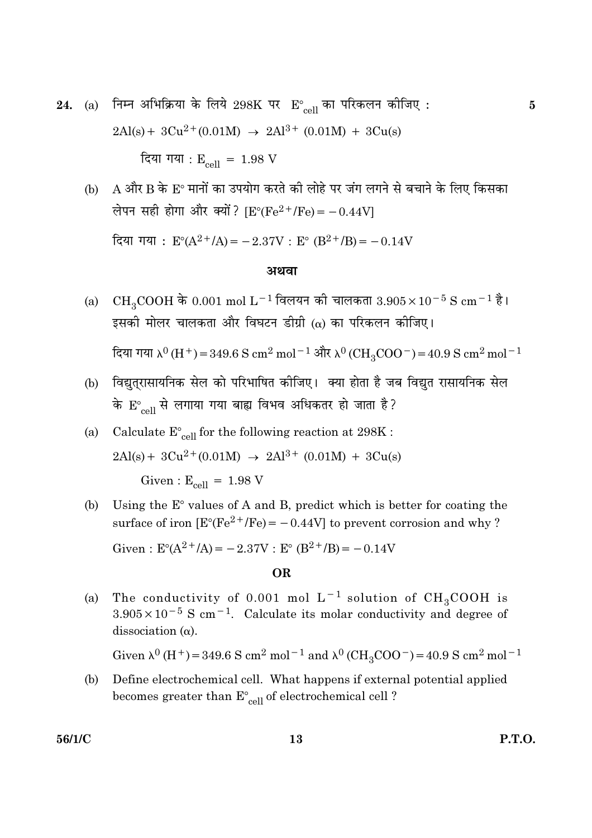24. (a) निम्न अभिक्रिया के लिये 298K पर  $E^{\circ}_{cell}$  का परिकलन कीजिए:  $2\text{Al}(s) + 3\text{Cu}^{2+}(0.01\text{M}) \rightarrow 2\text{Al}^{3+}(0.01\text{M}) + 3\text{Cu}(s)$ 

दिया गया :  $E_{cell} = 1.98$  V

A और B के E° मानों का उपयोग करते की लोहे पर जंग लगने से बचाने के लिए किसका  $(b)$ लेपन सही होगा और क्यों? [ $E^{\circ}$ ( $Fe^{2+}/Fe$ ) = -0.44V] दिया गया :  $E^{\circ}(A^{2+}/A) = -2.37V$  :  $E^{\circ}$   $(B^{2+}/B) = -0.14V$ 

#### अथवा

(a) CH<sub>3</sub>COOH के 0.001 mol L<sup>-1</sup> विलयन की चालकता 3.905×10<sup>-5</sup> S cm<sup>-1</sup> है। इसकी मोलर चालकता और विघटन डीग्री (a) का परिकलन कीजिए।

 $\int$  τ $\pi$  τισπ λ<sup>0</sup> (H<sup>+</sup>) = 349.6 S cm<sup>2</sup> mol<sup>-1</sup> और λ<sup>0</sup> (CH<sub>2</sub>COO<sup>-</sup>) = 40.9 S cm<sup>2</sup> mol<sup>-1</sup>

- (b) विद्युत्रासायनिक सेल को परिभाषित कीजिए। क्या होता है जब विद्युत रासायनिक सेल के  $E_{cell}^{\circ}$  से लगाया गया बाह्य विभव अधिकतर हो जाता है?
- Calculate  $E_{cell}^{\circ}$  for the following reaction at 298K:  $(a)$  $2\text{Al}(s) + 3\text{Cu}^{2+}(0.01\text{M}) \rightarrow 2\text{Al}^{3+}(0.01\text{M}) + 3\text{Cu}(s)$ Given:  $E_{cell} = 1.98 V$
- Using the  $E^{\circ}$  values of A and B, predict which is better for coating the  $(b)$ surface of iron  $[E^{\circ}(Fe^{2+}/Fe) = -0.44V]$  to prevent corrosion and why? Given:  $E^{\circ}(A^{2+}/A) = -2.37V$ :  $E^{\circ} (B^{2+}/B) = -0.14V$

#### OR.

The conductivity of 0.001 mol  $L^{-1}$  solution of  $CH_3COOH$  is  $(a)$  $3.905 \times 10^{-5}$  S cm<sup>-1</sup>. Calculate its molar conductivity and degree of dissociation  $(\alpha)$ .

Given  $\lambda^0$  (H<sup>+</sup>) = 349.6 S cm<sup>2</sup> mol<sup>-1</sup> and  $\lambda^0$  (CH<sub>3</sub>COO<sup>-</sup>) = 40.9 S cm<sup>2</sup> mol<sup>-1</sup>

 $(b)$ Define electrochemical cell. What happens if external potential applied becomes greater than  $E^{\circ}_{\;\;cell}$  of electrochemical cell ?

56/1/C

 $\overline{5}$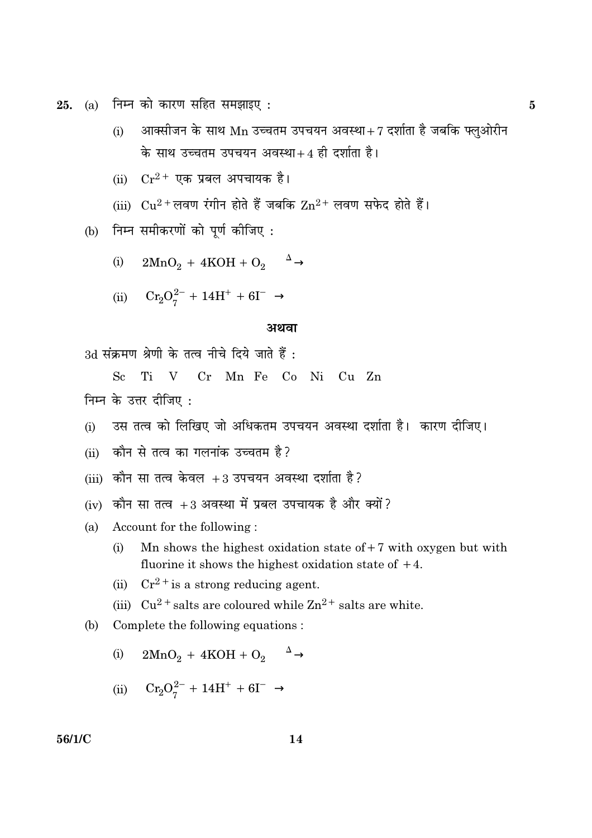$25.$  (a) निम्न को कारण सहित समझाइए :  $5$ 

- $\rm (i)$  अार्क्सोजन के साथ  $\rm Mn$  उच्चतम उपचयन अवस्था $\rm +7$  दर्शाता है जबकि फ्लुओरीन के साथ उच्चतम उपचयन अवस्था $+$ 4 ही दर्शाता है।
- $\displaystyle \mathrm{(ii)}\quad \mathrm{Cr^{2+}}$  एक प्रबल अपचायक है।
- (iii)  $Cu^{2+}$ लवण रंगीन होते हैं जबकि  $Zn^{2+}$  लवण सफेद होते हैं।
- (b) निम्न समीकरणों को पूर्ण कीजिए:
	- (i)  $2MnO_2 + 4KOH + O_2 \xrightarrow{\Delta}$
	- (ii)  $Cr_2O_7^{2-} + 14H^+ + 6I^- \rightarrow$

#### अथवा

 $3d$  सक्रमण श्रेणी के तत्व नोचे दिये जाते हैं <mark>:</mark>

Sc Ti V Cr Mn Fe Co Ni Cu Zn निम्न के उत्तर दीजिए:

(i) उस तत्व को लिखिए जो अधिकतम उपचयन अवस्था दर्शाता है। कारण दीजिए।

(+ H1%
\*K =

- $(iii)$  कौन सा तत्व केवल  $+3$  उपचयन अवस्था दर्शाता है ?
- $(iv)$  कौन सा तत्व  $+3$  अवस्था में प्रबल उपचायक है और क्यों ?
- (a) Account for the following :
	- (i) Mn shows the highest oxidation state of  $+7$  with oxygen but with fluorine it shows the highest oxidation state of  $+4$ .
	- (ii)  $Cr^{2+}$  is a strong reducing agent.
	- (iii)  $Cu^{2}$  + salts are coloured while  $Zn^{2+}$  salts are white.
- (b) Complete the following equations :
	- (i)  $2MnO_2 + 4KOH + O_2 \xrightarrow{\Delta}$

$$
\mathrm{(ii)}\quad \ \ Cr_2O_7^{2-} +14H^+ +6I^-\,\,\rightarrow
$$

**-** $14$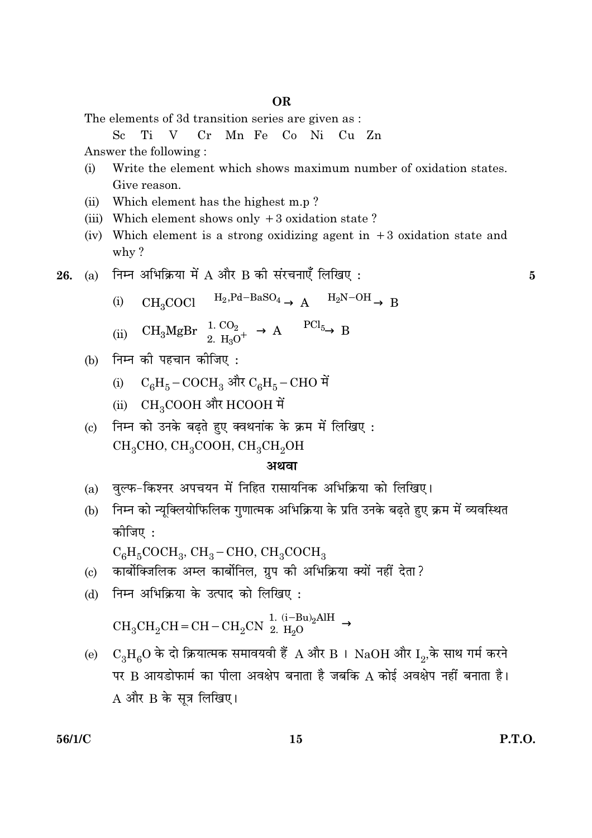The elements of 3d transition series are given as :

Answer the following:

- $(i)$ Write the element which shows maximum number of oxidation states. Give reason.
- Which element has the highest m.p?  $(ii)$
- (iii) Which element shows only  $+3$  oxidation state?
- (iv) Which element is a strong oxidizing agent in  $+3$  oxidation state and why?
- (a) निम्न अभिक्रिया में A और B की संरचनाएँ लिखिए: 26.
	- $CH_3COCl \xrightarrow{H_2, Pd-BaSO_4} A \xrightarrow{H_2N-OH} B$  $(i)$
	- (ii)  $CH_3MgBr \xrightarrow{1. CO_2} A \xrightarrow{PCl_5} B$
	- (b) निम्न की पहचान कीजिए:
		- (i)  $C_6H_5-COCH_3$  और  $C_6H_5-CHO$  में
		- (ii) CH<sub>3</sub>COOH और HCOOH में
	- निम्न को उनके बढते हुए क्वथनांक के क्रम में लिखिए :  $(c)$ CH<sub>3</sub>CHO, CH<sub>3</sub>COOH, CH<sub>3</sub>CH<sub>2</sub>OH

## अथवा

- (a) वल्फ-किश्नर अपचयन में निहित रासायनिक अभिक्रिया को लिखिए।
- (b) निम्न को न्यूक्लियोफिलिक गुणात्मक अभिक्रिया के प्रति उनके बढ़ते हुए क्रम में व्यवस्थित कोजिए :

 $C_6H_5COCH_3$ , CH<sub>3</sub> – CHO, CH<sub>3</sub>COCH<sub>3</sub>

- कार्बोक्जिलिक अम्ल कार्बोनिल. ग्रप की अभिक्रिया क्यों नहीं देता?  $\left( \mathrm{e}\right)$
- निम्न अभिक्रिया के उत्पाद को लिखिए :  $(b)$

 $\rm CH_3CH_2CH=CH-CH_2CN\ \begin{array}{l} \underline{1. \ (i-Bu)_2AlH} \\ \underline{2. \ H_2O} \end{array}$ 

(e)  $C_3H_6O$  के दो क्रियात्मक समावयवी हैं A और B । NaOH और I2, के साथ गर्म करने पर B आयडोफार्म का पीला अवक्षेप बनाता है जबकि A कोई अवक्षेप नहीं बनाता है।  $A$  और  $B$  के सत्र लिखिए।

5